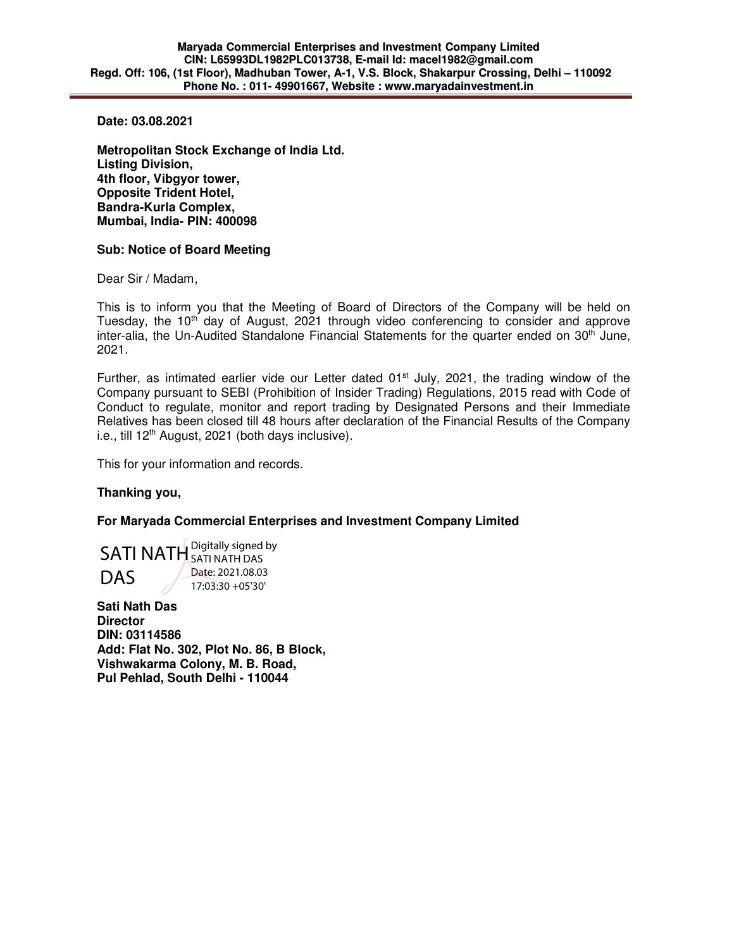**Date: 03.08.2021** 

**Metropolitan Stock Exchange of India Ltd. Listing Division, 4th floor, Vibgyor tower, Opposite Trident Hotel, Bandra-Kurla Complex, Mumbai, India- PIN: 400098** 

## **Sub: Notice of Board Meeting**

Dear Sir / Madam,

This is to inform you that the Meeting of Board of Directors of the Company will be held on Tuesday, the  $10<sup>th</sup>$  day of August, 2021 through video conferencing to consider and approve inter-alia, the Un-Audited Standalone Financial Statements for the quarter ended on  $30<sup>th</sup>$  June, 2021.

Further, as intimated earlier vide our Letter dated  $01<sup>st</sup>$  July, 2021, the trading window of the Company pursuant to SEBI (Prohibition of Insider Trading) Regulations, 2015 read with Code of Conduct to regulate, monitor and report trading by Designated Persons and their Immediate Relatives has been closed till 48 hours after declaration of the Financial Results of the Company i.e., till  $12<sup>th</sup>$  August, 2021 (both days inclusive).

This for your information and records.

## **Thanking you,**

## **For Maryada Commercial Enterprises and Investment Company Limited**

SATI NATH Digitally signed by DAS SATI NATH DAS Date: 2021.08.03 17:03:30 +05'30'

**Sati Nath Das Director DIN: 03114586 Add: Flat No. 302, Plot No. 86, B Block, Vishwakarma Colony, M. B. Road, Pul Pehlad, South Delhi - 110044**